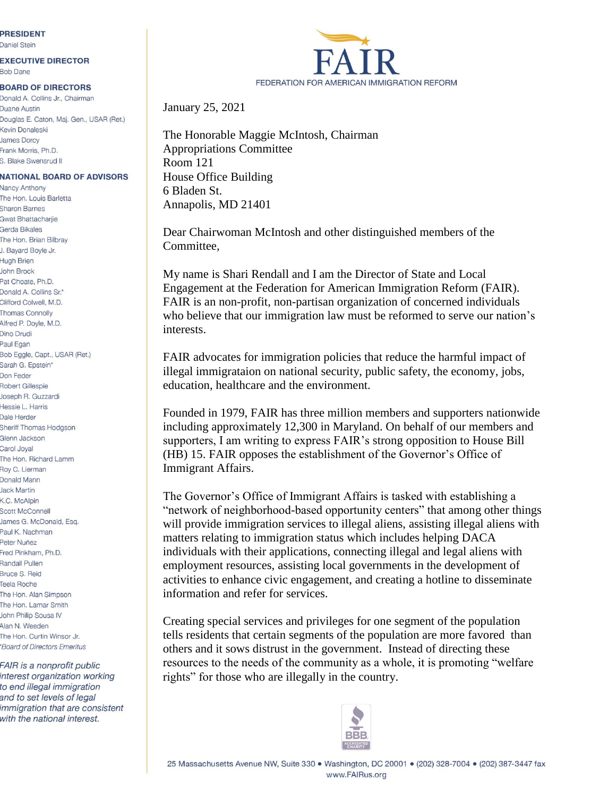## **PRESIDENT**

Daniel Stein

## **EXECUTIVE DIRECTOR**

**Bob Dane** 

## **BOARD OF DIRECTORS**

Donald A. Collins Jr., Chairman Duane Austin Douglas E. Caton, Maj. Gen., USAR (Ret.) Kevin Donaleski **James Dorcy** Frank Morris, Ph.D. S. Blake Swensrud II

## **NATIONAL BOARD OF ADVISORS**

Nancy Anthony The Hon, Louis Barletta **Sharon Barnes** Gwat Bhattachariie Gerda Bikales The Hon. Brian Bilbray J. Bayard Boyle Jr. **Hugh Brien John Brock** Pat Choate, Ph.D. Donald A. Collins Sr.\* Clifford Colwell, M.D. Thomas Connolly Alfred P. Doyle, M.D. Dino Drudi Paul Egan Bob Eggle, Capt., USAR (Ret.) Sarah G. Epstein\* Don Feder Robert Gillespie Joseph R. Guzzardi Hessie L. Harris Dale Herder Sheriff Thomas Hodgson Glenn Jackson Carol Joyal The Hon. Richard Lamm Roy C. Lierman Donald Mann **Jack Martin** K.C. McAlpin Scott McConnell James G. McDonald, Esq. Paul K. Nachman Peter Nuñez Fred Pinkham, Ph.D. Randall Pullen **Bruce S. Reid Teela Roche** The Hon. Alan Simpson The Hon. Lamar Smith John Philip Sousa IV Alan N. Weeden The Hon. Curtin Winsor Jr. \*Board of Directors Emeritus

FAIR is a nonprofit public interest organization working to end illegal immigration and to set levels of legal immigration that are consistent with the national interest.



January 25, 2021

The Honorable Maggie McIntosh, Chairman Appropriations Committee Room 121 House Office Building 6 Bladen St. Annapolis, MD 21401

Dear Chairwoman McIntosh and other distinguished members of the Committee,

My name is Shari Rendall and I am the Director of State and Local Engagement at the Federation for American Immigration Reform (FAIR). FAIR is an non-profit, non-partisan organization of concerned individuals who believe that our immigration law must be reformed to serve our nation's interests.

FAIR advocates for immigration policies that reduce the harmful impact of illegal immigrataion on national security, public safety, the economy, jobs, education, healthcare and the environment.

Founded in 1979, FAIR has three million members and supporters nationwide including approximately 12,300 in Maryland. On behalf of our members and supporters, I am writing to express FAIR's strong opposition to House Bill (HB) 15. FAIR opposes the establishment of the Governor's Office of Immigrant Affairs.

The Governor's Office of Immigrant Affairs is tasked with establishing a "network of neighborhood-based opportunity centers" that among other things will provide immigration services to illegal aliens, assisting illegal aliens with matters relating to immigration status which includes helping DACA individuals with their applications, connecting illegal and legal aliens with employment resources, assisting local governments in the development of activities to enhance civic engagement, and creating a hotline to disseminate information and refer for services.

Creating special services and privileges for one segment of the population tells residents that certain segments of the population are more favored than others and it sows distrust in the government. Instead of directing these resources to the needs of the community as a whole, it is promoting "welfare rights" for those who are illegally in the country.